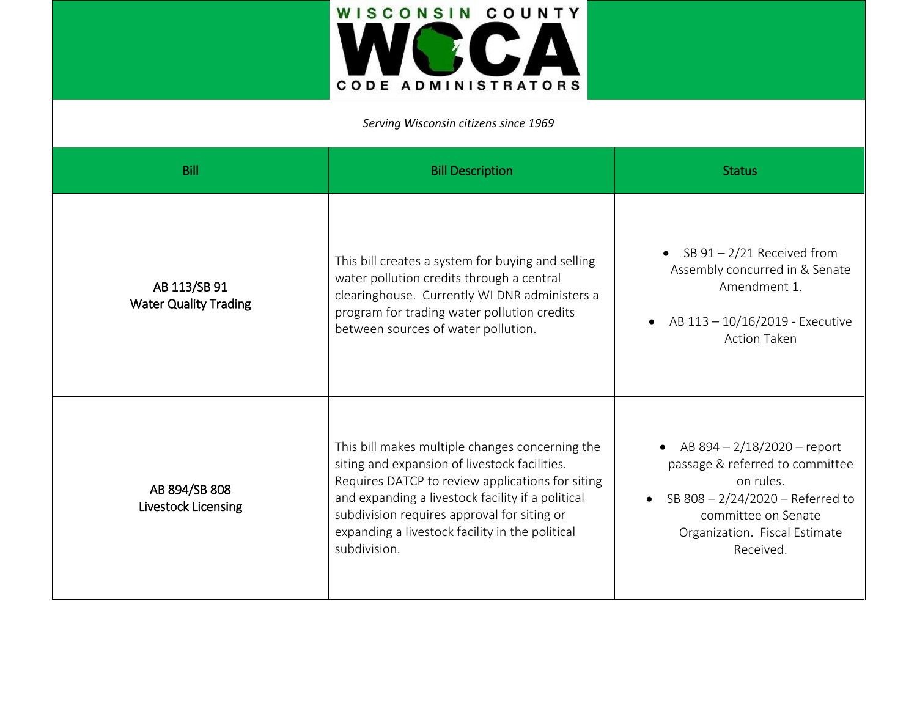

*Serving Wisconsin citizens since 1969*

| <b>Bill</b>                                  | <b>Bill Description</b>                                                                                                                                                                                                                                                                                                     | <b>Status</b>                                                                                                                                                                                         |
|----------------------------------------------|-----------------------------------------------------------------------------------------------------------------------------------------------------------------------------------------------------------------------------------------------------------------------------------------------------------------------------|-------------------------------------------------------------------------------------------------------------------------------------------------------------------------------------------------------|
| AB 113/SB 91<br><b>Water Quality Trading</b> | This bill creates a system for buying and selling<br>water pollution credits through a central<br>clearinghouse. Currently WI DNR administers a<br>program for trading water pollution credits<br>between sources of water pollution.                                                                                       | • SB $91 - 2/21$ Received from<br>Assembly concurred in & Senate<br>Amendment 1.<br>AB 113 - 10/16/2019 - Executive<br><b>Action Taken</b>                                                            |
| AB 894/SB 808<br>Livestock Licensing         | This bill makes multiple changes concerning the<br>siting and expansion of livestock facilities.<br>Requires DATCP to review applications for siting<br>and expanding a livestock facility if a political<br>subdivision requires approval for siting or<br>expanding a livestock facility in the political<br>subdivision. | • AB $894 - 2/18/2020$ - report<br>passage & referred to committee<br>on rules.<br>SB 808 - 2/24/2020 - Referred to<br>$\bullet$<br>committee on Senate<br>Organization. Fiscal Estimate<br>Received. |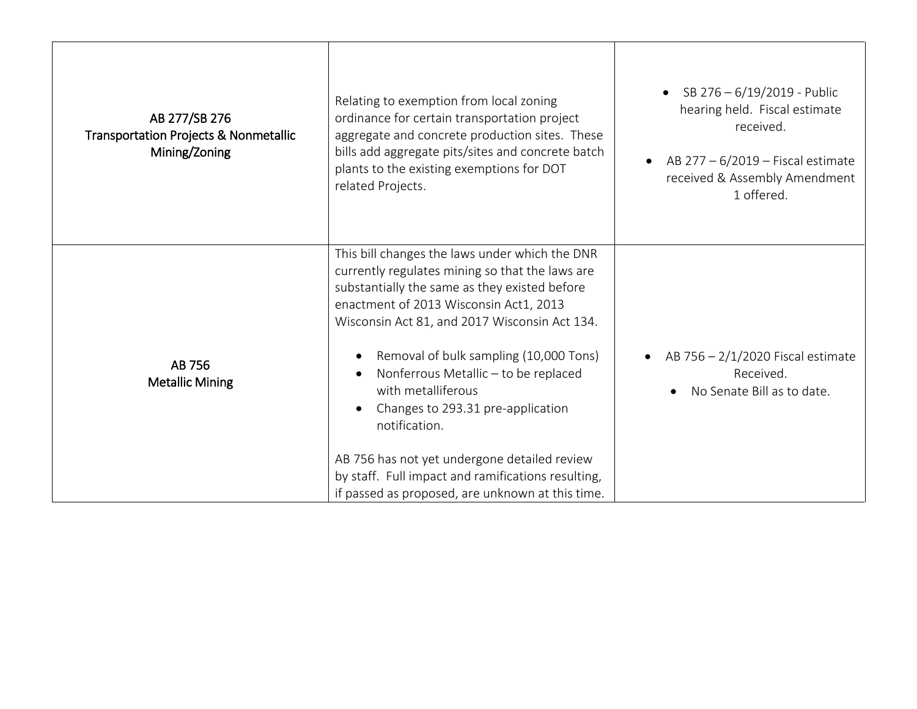| AB 277/SB 276<br><b>Transportation Projects &amp; Nonmetallic</b><br>Mining/Zoning | Relating to exemption from local zoning<br>ordinance for certain transportation project<br>aggregate and concrete production sites. These<br>bills add aggregate pits/sites and concrete batch<br>plants to the existing exemptions for DOT<br>related Projects.                                                                                                                                                                                                                                                                                                      | SB 276 - 6/19/2019 - Public<br>hearing held. Fiscal estimate<br>received.<br>AB 277 - 6/2019 - Fiscal estimate<br>received & Assembly Amendment<br>1 offered. |
|------------------------------------------------------------------------------------|-----------------------------------------------------------------------------------------------------------------------------------------------------------------------------------------------------------------------------------------------------------------------------------------------------------------------------------------------------------------------------------------------------------------------------------------------------------------------------------------------------------------------------------------------------------------------|---------------------------------------------------------------------------------------------------------------------------------------------------------------|
| AB 756<br><b>Metallic Mining</b>                                                   | This bill changes the laws under which the DNR<br>currently regulates mining so that the laws are<br>substantially the same as they existed before<br>enactment of 2013 Wisconsin Act1, 2013<br>Wisconsin Act 81, and 2017 Wisconsin Act 134.<br>Removal of bulk sampling (10,000 Tons)<br>Nonferrous Metallic - to be replaced<br>with metalliferous<br>Changes to 293.31 pre-application<br>notification.<br>AB 756 has not yet undergone detailed review<br>by staff. Full impact and ramifications resulting,<br>if passed as proposed, are unknown at this time. | AB 756 - 2/1/2020 Fiscal estimate<br>Received.<br>No Senate Bill as to date.                                                                                  |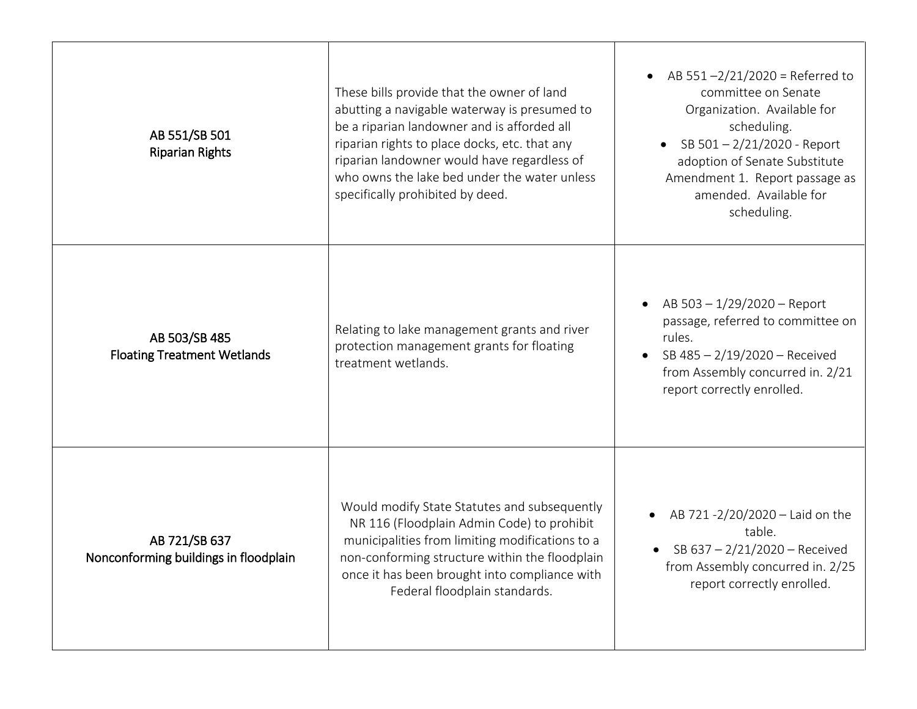| AB 551/SB 501<br><b>Riparian Rights</b>                | These bills provide that the owner of land<br>abutting a navigable waterway is presumed to<br>be a riparian landowner and is afforded all<br>riparian rights to place docks, etc. that any<br>riparian landowner would have regardless of<br>who owns the lake bed under the water unless<br>specifically prohibited by deed. | AB $551 - 2/21/2020$ = Referred to<br>$\bullet$<br>committee on Senate<br>Organization. Available for<br>scheduling.<br>SB 501-2/21/2020 - Report<br>adoption of Senate Substitute<br>Amendment 1. Report passage as<br>amended. Available for<br>scheduling. |
|--------------------------------------------------------|-------------------------------------------------------------------------------------------------------------------------------------------------------------------------------------------------------------------------------------------------------------------------------------------------------------------------------|---------------------------------------------------------------------------------------------------------------------------------------------------------------------------------------------------------------------------------------------------------------|
| AB 503/SB 485<br><b>Floating Treatment Wetlands</b>    | Relating to lake management grants and river<br>protection management grants for floating<br>treatment wetlands.                                                                                                                                                                                                              | AB 503 - 1/29/2020 - Report<br>passage, referred to committee on<br>rules.<br>SB 485 - 2/19/2020 - Received<br>from Assembly concurred in. 2/21<br>report correctly enrolled.                                                                                 |
| AB 721/SB 637<br>Nonconforming buildings in floodplain | Would modify State Statutes and subsequently<br>NR 116 (Floodplain Admin Code) to prohibit<br>municipalities from limiting modifications to a<br>non-conforming structure within the floodplain<br>once it has been brought into compliance with<br>Federal floodplain standards.                                             | AB 721 -2/20/2020 - Laid on the<br>table.<br>• SB $637 - 2/21/2020$ – Received<br>from Assembly concurred in. 2/25<br>report correctly enrolled.                                                                                                              |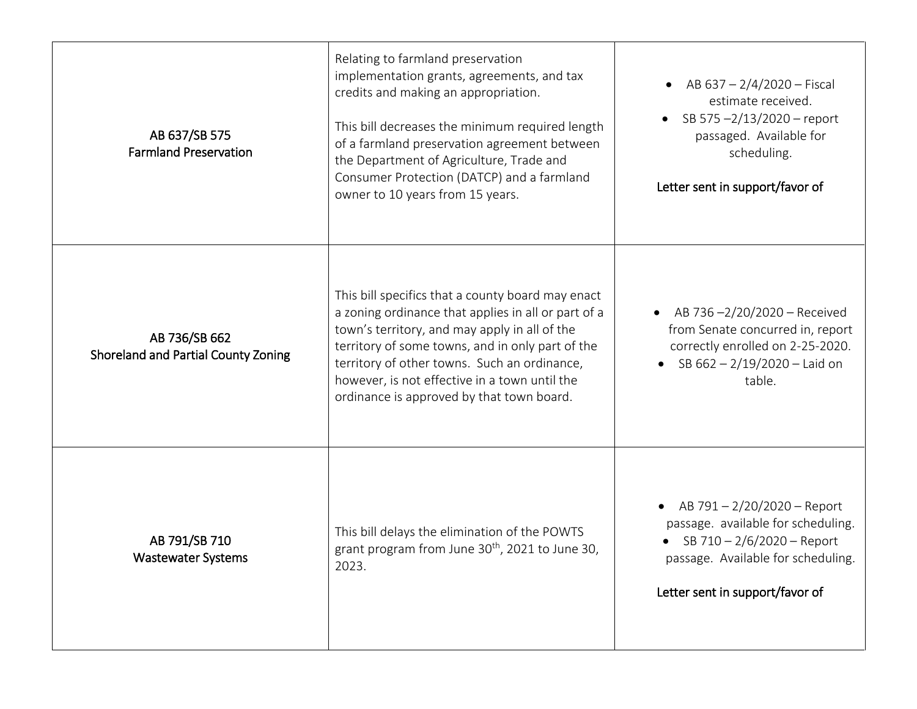| AB 637/SB 575<br><b>Farmland Preservation</b>        | Relating to farmland preservation<br>implementation grants, agreements, and tax<br>credits and making an appropriation.<br>This bill decreases the minimum required length<br>of a farmland preservation agreement between<br>the Department of Agriculture, Trade and<br>Consumer Protection (DATCP) and a farmland<br>owner to 10 years from 15 years.    | AB 637 - 2/4/2020 - Fiscal<br>$\bullet$<br>estimate received.<br>SB 575-2/13/2020 - report<br>passaged. Available for<br>scheduling.<br>Letter sent in support/favor of      |
|------------------------------------------------------|-------------------------------------------------------------------------------------------------------------------------------------------------------------------------------------------------------------------------------------------------------------------------------------------------------------------------------------------------------------|------------------------------------------------------------------------------------------------------------------------------------------------------------------------------|
| AB 736/SB 662<br>Shoreland and Partial County Zoning | This bill specifics that a county board may enact<br>a zoning ordinance that applies in all or part of a<br>town's territory, and may apply in all of the<br>territory of some towns, and in only part of the<br>territory of other towns. Such an ordinance,<br>however, is not effective in a town until the<br>ordinance is approved by that town board. | AB 736-2/20/2020 - Received<br>from Senate concurred in, report<br>correctly enrolled on 2-25-2020.<br>• SB $662 - 2/19/2020 -$ Laid on<br>table.                            |
| AB 791/SB 710<br><b>Wastewater Systems</b>           | This bill delays the elimination of the POWTS<br>grant program from June 30 <sup>th</sup> , 2021 to June 30,<br>2023.                                                                                                                                                                                                                                       | • AB $791 - 2/20/2020$ – Report<br>passage. available for scheduling.<br>SB 710 - 2/6/2020 - Report<br>passage. Available for scheduling.<br>Letter sent in support/favor of |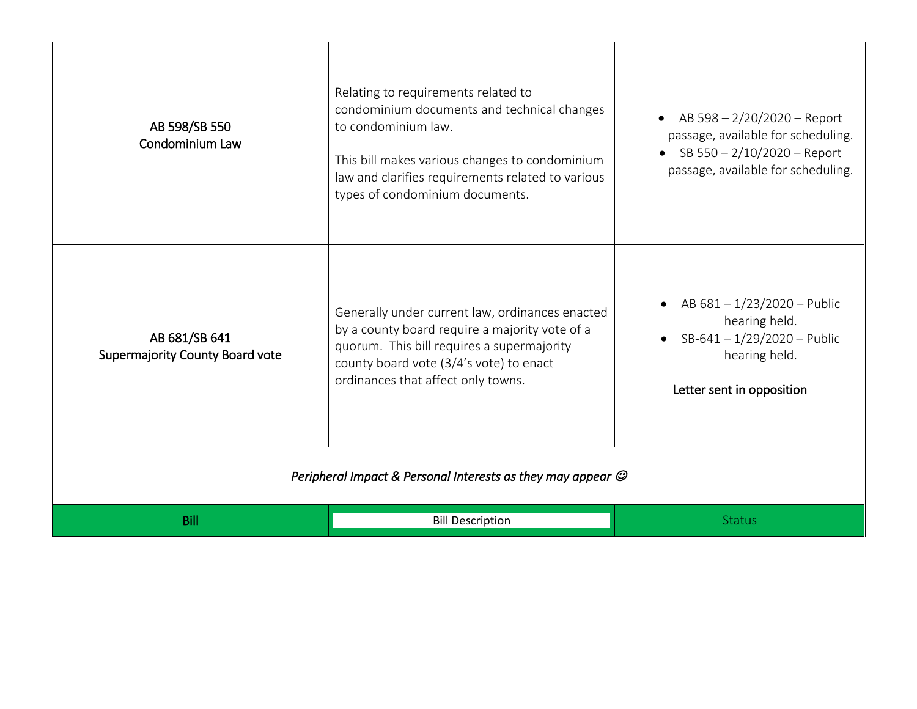| AB 598/SB 550<br>Condominium Law                                       | Relating to requirements related to<br>condominium documents and technical changes<br>to condominium law.<br>This bill makes various changes to condominium<br>law and clarifies requirements related to various<br>types of condominium documents. | AB 598 - 2/20/2020 - Report<br>passage, available for scheduling.<br>SB 550 - 2/10/2020 - Report<br>passage, available for scheduling. |
|------------------------------------------------------------------------|-----------------------------------------------------------------------------------------------------------------------------------------------------------------------------------------------------------------------------------------------------|----------------------------------------------------------------------------------------------------------------------------------------|
| AB 681/SB 641<br>Supermajority County Board vote                       | Generally under current law, ordinances enacted<br>by a county board require a majority vote of a<br>quorum. This bill requires a supermajority<br>county board vote (3/4's vote) to enact<br>ordinances that affect only towns.                    | AB 681-1/23/2020-Public<br>hearing held.<br>SB-641-1/29/2020-Public<br>hearing held.<br>Letter sent in opposition                      |
| Peripheral Impact & Personal Interests as they may appear $\mathcal O$ |                                                                                                                                                                                                                                                     |                                                                                                                                        |
| <b>Bill</b>                                                            | <b>Bill Description</b>                                                                                                                                                                                                                             | <b>Status</b>                                                                                                                          |